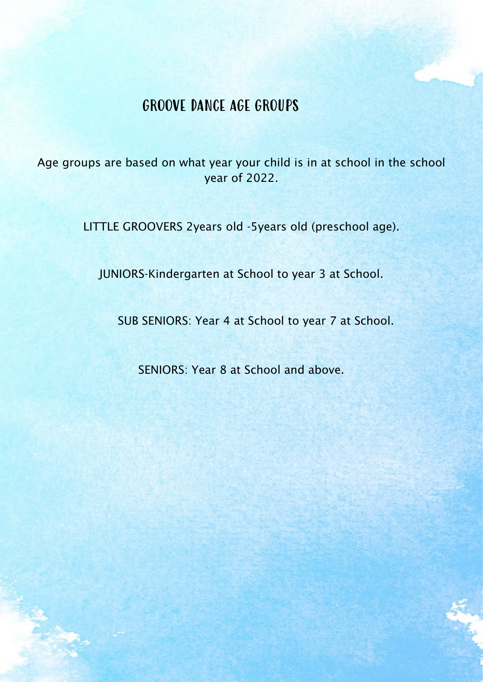# GROOVE DANCE AGE GROUPS

Age groups are based on what year your child is in at school in the school year of 2022.

LITTLE GROOVERS 2years old -5years old (preschool age).

JUNIORS-Kindergarten at School to year 3 at School.

SUB SENIORS: Year 4 at School to year 7 at School.

SENIORS: Year 8 at School and above.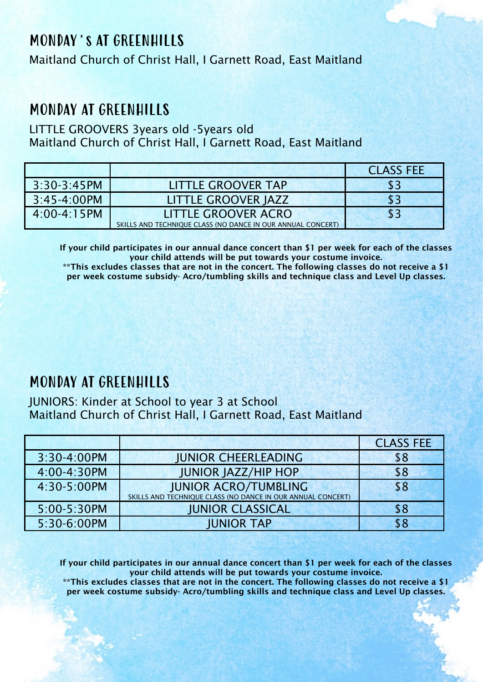# MONDAY's AT GREENHILLS

Maitland Church of Christ Hall, I Garnett Road, East Maitland

## MONDAY AT GREENHILLS

LITTLE GROOVERS 3years old -5years old Maitland Church of Christ Hall, I Garnett Road, East Maitland

|                  |                                                             | <b>CLASS FEE</b> |
|------------------|-------------------------------------------------------------|------------------|
| $3:30-3:45PM$    | LITTLE GROOVER TAP                                          | \$3              |
| $3:45 - 4:00$ PM | LITTLE GROOVER JAZZ                                         | \$3              |
| 4:00-4:15PM      | LITTLE GROOVER ACRO                                         | \$3              |
|                  | SKILLS AND TECHNIQUE CLASS (NO DANCE IN OUR ANNUAL CONCERT) |                  |

If your child participates in our annual dance concert than \$1 per week for each of the classes your child attends will be put towards your costume invoice.

\*\*This excludes classes that are not in the concert. The following classes do not receive a \$1 per week costume subsidy- Acro/tumbling skills and technique class and Level Up classes.

### MONDAY AT GREENHILLS

JUNIORS: Kinder at School to year 3 at School Maitland Church of Christ Hall, I Garnett Road, East Maitland

|             |                                                             | <b>CLASS FEE</b> |
|-------------|-------------------------------------------------------------|------------------|
| 3:30-4:00PM | <b>JUNIOR CHEERLEADING</b>                                  | \$8              |
| 4:00-4:30PM | <b>JUNIOR JAZZ/HIP HOP</b>                                  | \$8              |
| 4:30-5:00PM | <b>JUNIOR ACRO/TUMBLING</b>                                 | \$8              |
|             | SKILLS AND TECHNIQUE CLASS (NO DANCE IN OUR ANNUAL CONCERT) |                  |
| 5:00-5:30PM | <b>JUNIOR CLASSICAL</b>                                     | \$8              |
| 5:30-6:00PM | <b>JUNIOR TAP</b>                                           |                  |

If your child participates in our annual dance concert than \$1 per week for each of the classes your child attends will be put towards your costume invoice.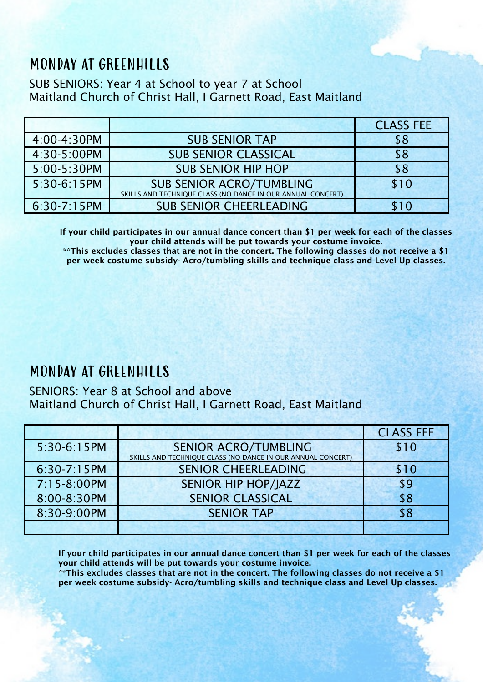# MONDAY AT GREENHILLS

SUB SENIORS: Year 4 at School to year 7 at School Maitland Church of Christ Hall, I Garnett Road, East Maitland

|               |                                                                                                | <b>CLASS FEE</b> |
|---------------|------------------------------------------------------------------------------------------------|------------------|
| 4:00-4:30PM   | <b>SUB SENIOR TAP</b>                                                                          | \$8              |
| 4:30-5:00PM   | <b>SUB SENIOR CLASSICAL</b>                                                                    | \$8              |
| 5:00-5:30PM   | <b>SUB SENIOR HIP HOP</b>                                                                      | \$8              |
| 5:30-6:15PM   | <b>SUB SENIOR ACRO/TUMBLING</b><br>SKILLS AND TECHNIQUE CLASS (NO DANCE IN OUR ANNUAL CONCERT) | \$10             |
| $6:30-7:15PM$ | <b>SUB SENIOR CHEERLEADING</b>                                                                 | \$10             |

If your child participates in our annual dance concert than \$1 per week for each of the classes your child attends will be put towards your costume invoice.

\*\*This excludes classes that are not in the concert. The following classes do not receive a \$1 per week costume subsidy- Acro/tumbling skills and technique class and Level Up classes.

## MONDAY AT GREENHILLS

SENIORS: Year 8 at School and above Maitland Church of Christ Hall, I Garnett Road, East Maitland

|             |                                                                                            | <b>CLASS FEE</b> |
|-------------|--------------------------------------------------------------------------------------------|------------------|
| 5:30-6:15PM | <b>SENIOR ACRO/TUMBLING</b><br>SKILLS AND TECHNIQUE CLASS (NO DANCE IN OUR ANNUAL CONCERT) | \$10             |
| 6:30-7:15PM | <b>SENIOR CHEERLEADING</b>                                                                 | \$10             |
| 7:15-8:00PM | <b>SENIOR HIP HOP/JAZZ</b>                                                                 | \$9              |
| 8:00-8:30PM | <b>SENIOR CLASSICAL</b>                                                                    | \$8              |
| 8:30-9:00PM | <b>SENIOR TAP</b>                                                                          | \$8              |
|             |                                                                                            |                  |

If your child participates in our annual dance concert than \$1 per week for each of the classes your child attends will be put towards your costume invoice.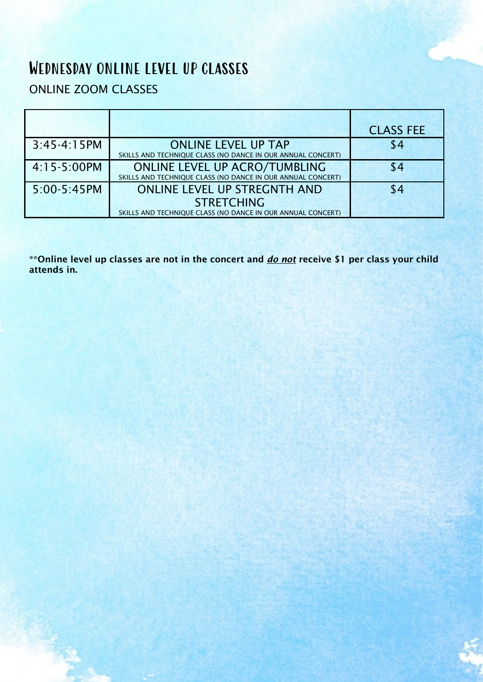# Wednesday ONLINE LEVEL UP CLASSES

### ONLINE ZOOM CLASSES

|               |                                                             | <b>CLASS FEE</b> |
|---------------|-------------------------------------------------------------|------------------|
| $3:45-4:15PM$ | <b>ONLINE LEVEL UP TAP</b>                                  | \$4              |
|               | SKILLS AND TECHNIQUE CLASS (NO DANCE IN OUR ANNUAL CONCERT) |                  |
| 4:15-5:00PM   | <b>ONLINE LEVEL UP ACRO/TUMBLING</b>                        | \$4              |
|               | SKILLS AND TECHNIQUE CLASS (NO DANCE IN OUR ANNUAL CONCERT) |                  |
| 5:00-5:45PM   | <b>ONLINE LEVEL UP STREGNTH AND</b>                         | \$4              |
|               | <b>STRETCHING</b>                                           |                  |
|               | SKILLS AND TECHNIQUE CLASS (NO DANCE IN OUR ANNUAL CONCERT) |                  |

\*\*Online level up classes are not in the concert and *do not* receive \$1 per class your child attends in.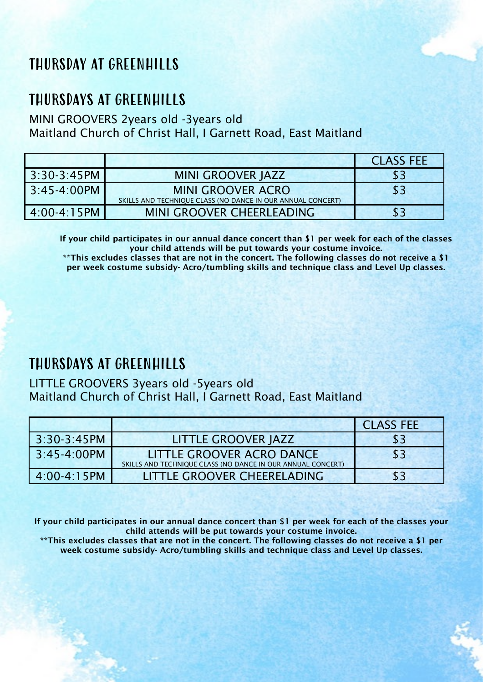# THURSDAY AT GREENHILLS

## THURSDAYS AT GREENHILLS

#### MINI GROOVERS 2years old -3years old Maitland Church of Christ Hall, I Garnett Road, East Maitland

|                  |                                                             | <b>CLASS FEE</b> |
|------------------|-------------------------------------------------------------|------------------|
| $3:30-3:45PM$    | MINI GROOVER JAZZ                                           | \$3              |
| $3:45 - 4:00$ PM | <b>MINI GROOVER ACRO</b>                                    | \$3              |
|                  | SKILLS AND TECHNIQUE CLASS (NO DANCE IN OUR ANNUAL CONCERT) |                  |
| $4:00 - 4:15$ PM | MINI GROOVER CHEERLEADING                                   | \$3              |

If your child participates in our annual dance concert than \$1 per week for each of the classes your child attends will be put towards your costume invoice.

\*\*This excludes classes that are not in the concert. The following classes do not receive a \$1 per week costume subsidy- Acro/tumbling skills and technique class and Level Up classes.

### THURSDAYS AT GREENHILLS

LITTLE GROOVERS 3years old -5years old Maitland Church of Christ Hall, I Garnett Road, East Maitland

|                  |                                                             | <b>CLASS FEE</b> |
|------------------|-------------------------------------------------------------|------------------|
| $3:30-3:45PM$    | LITTLE GROOVER JAZZ                                         | \$3              |
| $3:45-4:00PM$    | LITTLE GROOVER ACRO DANCE                                   | \$3              |
|                  | SKILLS AND TECHNIQUE CLASS (NO DANCE IN OUR ANNUAL CONCERT) |                  |
| $4:00 - 4:15$ PM | LITTLE GROOVER CHEERELADING                                 | \$3              |

If your child participates in our annual dance concert than \$1 per week for each of the classes your child attends will be put towards your costume invoice.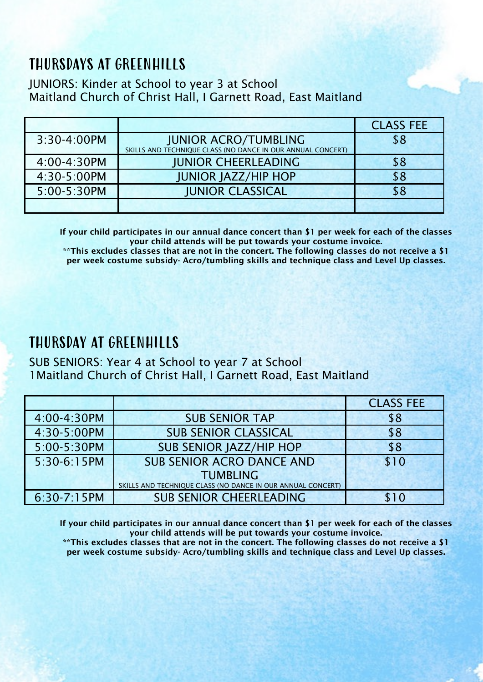# THURSDAYS AT GREENHILLS

#### JUNIORS: Kinder at School to year 3 at School Maitland Church of Christ Hall, I Garnett Road, East Maitland

|             |                                                                                            | <b>CLASS FEE</b> |
|-------------|--------------------------------------------------------------------------------------------|------------------|
| 3:30-4:00PM | <b>JUNIOR ACRO/TUMBLING</b><br>SKILLS AND TECHNIQUE CLASS (NO DANCE IN OUR ANNUAL CONCERT) | \$8              |
|             |                                                                                            |                  |
| 4:00-4:30PM | <b>JUNIOR CHEERLEADING</b>                                                                 | \$8              |
| 4:30-5:00PM | <b>JUNIOR JAZZ/HIP HOP</b>                                                                 | \$8              |
| 5:00-5:30PM | <b>JUNIOR CLASSICAL</b>                                                                    | \$8              |
|             |                                                                                            |                  |

If your child participates in our annual dance concert than \$1 per week for each of the classes your child attends will be put towards your costume invoice.

\*\*This excludes classes that are not in the concert. The following classes do not receive a \$1 per week costume subsidy- Acro/tumbling skills and technique class and Level Up classes.

## THURSDAY AT GREENHILLS

#### SUB SENIORS: Year 4 at School to year 7 at School 1Maitland Church of Christ Hall, I Garnett Road, East Maitland

|               |                                                                                | <b>CLASS FEE</b> |
|---------------|--------------------------------------------------------------------------------|------------------|
| 4:00-4:30PM   | <b>SUB SENIOR TAP</b>                                                          | \$8              |
| 4:30-5:00PM   | <b>SUB SENIOR CLASSICAL</b>                                                    | \$8              |
| 5:00-5:30PM   | <b>SUB SENIOR JAZZ/HIP HOP</b>                                                 | \$8              |
| 5:30-6:15PM   | <b>SUB SENIOR ACRO DANCE AND</b>                                               | \$10             |
|               | <b>TUMBLING</b><br>SKILLS AND TECHNIQUE CLASS (NO DANCE IN OUR ANNUAL CONCERT) |                  |
| $6:30-7:15PM$ | <b>SUB SENIOR CHEERLEADING</b>                                                 | \$10             |

If your child participates in our annual dance concert than \$1 per week for each of the classes your child attends will be put towards your costume invoice.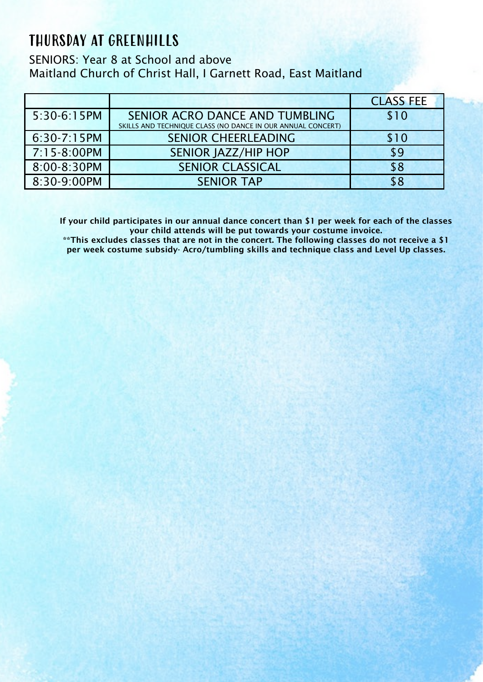## THURSDAY AT GREENHILLS

SENIORS: Year 8 at School and above Maitland Church of Christ Hall, I Garnett Road, East Maitland

|               |                                                                                               | <b>CLASS FEE</b> |
|---------------|-----------------------------------------------------------------------------------------------|------------------|
| 5:30-6:15PM   | SENIOR ACRO DANCE AND TUMBLING<br>SKILLS AND TECHNIQUE CLASS (NO DANCE IN OUR ANNUAL CONCERT) | \$10             |
|               |                                                                                               |                  |
| $6:30-7:15PM$ | <b>SENIOR CHEERLEADING</b>                                                                    | \$10             |
| 7:15-8:00PM   | <b>SENIOR JAZZ/HIP HOP</b>                                                                    | \$9              |
| 8:00-8:30PM   | <b>SENIOR CLASSICAL</b>                                                                       | \$8              |
| 8:30-9:00PM   | <b>SENIOR TAP</b>                                                                             | \$8              |

If your child participates in our annual dance concert than \$1 per week for each of the classes your child attends will be put towards your costume invoice.